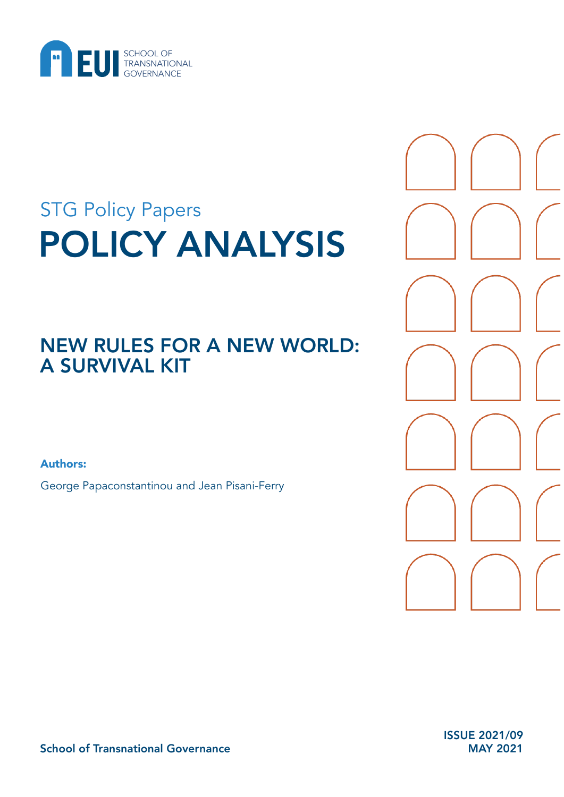

# POLICY ANALYSIS STG Policy Papers

# NEW RULES FOR A NEW WORLD: A SURVIVAL KIT

Authors:

George Papaconstantinou and Jean Pisani-Ferry

ISSUE 2021/09 MAY 2021

School of Transnational Governance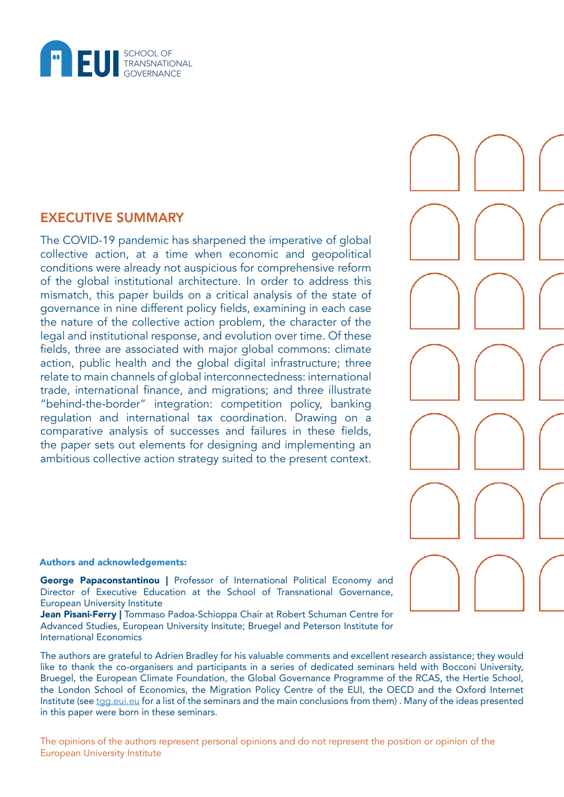

# EXECUTIVE SUMMARY

The COVID-19 pandemic has sharpened the imperative of global collective action, at a time when economic and geopolitical conditions were already not auspicious for comprehensive reform of the global institutional architecture. In order to address this mismatch, this paper builds on a critical analysis of the state of governance in nine different policy fields, examining in each case the nature of the collective action problem, the character of the legal and institutional response, and evolution over time. Of these fields, three are associated with major global commons: climate action, public health and the global digital infrastructure; three relate to main channels of global interconnectedness: international trade, international finance, and migrations; and three illustrate "behind-the-border" integration: competition policy, banking regulation and international tax coordination. Drawing on a comparative analysis of successes and failures in these fields, the paper sets out elements for designing and implementing an ambitious collective action strategy suited to the present context.



#### Authors and acknowledgements:

George Papaconstantinou | Professor of International Political Economy and Director of Executive Education at the School of Transnational Governance, European University Institute

Jean Pisani-Ferry | Tommaso Padoa-Schioppa Chair at Robert Schuman Centre for Advanced Studies, European University Insitute; Bruegel and Peterson Institute for International Economics

The authors are grateful to Adrien Bradley for his valuable comments and excellent research assistance; they would like to thank the co-organisers and participants in a series of dedicated seminars held with Bocconi University, Bruegel, the European Climate Foundation, the Global Governance Programme of the RCAS, the Hertie School, the London School of Economics, the Migration Policy Centre of the EUI, the OECD and the Oxford Internet Institute (see [tgg.eui.eu](https://tgg.eui.eu/) for a list of the seminars and the main conclusions from them) . Many of the ideas presented in this paper were born in these seminars.

The opinions of the authors represent personal opinions and do not represent the position or opinion of the European University Institute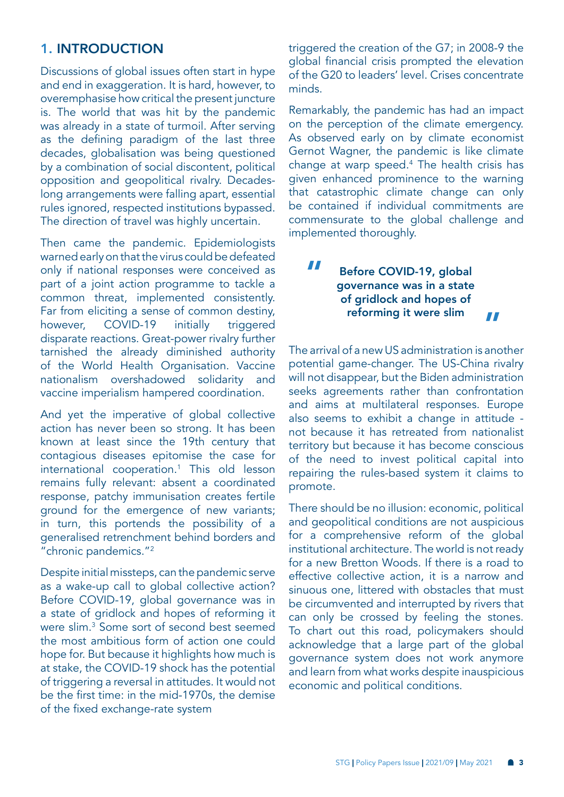# <span id="page-2-0"></span>1. INTRODUCTION

Discussions of global issues often start in hype and end in exaggeration. It is hard, however, to overemphasise how critical the present juncture is. The world that was hit by the pandemic was already in a state of turmoil. After serving as the defining paradigm of the last three decades, globalisation was being questioned by a combination of social discontent, political opposition and geopolitical rivalry. Decadeslong arrangements were falling apart, essential rules ignored, respected institutions bypassed. The direction of travel was highly uncertain.

Then came the pandemic. Epidemiologists warned early on that the virus could be defeated only if national responses were conceived as part of a joint action programme to tackle a common threat, implemented consistently. Far from eliciting a sense of common destiny, however, COVID-19 initially triggered disparate reactions. Great-power rivalry further tarnished the already diminished authority of the World Health Organisation. Vaccine nationalism overshadowed solidarity and vaccine imperialism hampered coordination.

And yet the imperative of global collective action has never been so strong. It has been known at least since the 19th century that contagious diseases epitomise the case for international cooperation[.1](#page-20-0) This old lesson remains fully relevant: absent a coordinated response, patchy immunisation creates fertile ground for the emergence of new variants; in turn, this portends the possibility of a generalised retrenchment behind borders and "chronic pandemics."[2](#page-20-0)

Despite initial missteps, can the pandemic serve as a wake-up call to global collective action? Before COVID-19, global governance was in a state of gridlock and hopes of reforming it were slim.[3](#page-20-0) Some sort of second best seemed the most ambitious form of action one could hope for. But because it highlights how much is at stake, the COVID-19 shock has the potential of triggering a reversal in attitudes. It would not be the first time: in the mid-1970s, the demise of the fixed exchange-rate system

triggered the creation of the G7; in 2008-9 the global financial crisis prompted the elevation of the G20 to leaders' level. Crises concentrate minds.

Remarkably, the pandemic has had an impact on the perception of the climate emergency. As observed early on by climate economist Gernot Wagner, the pandemic is like climate change at warp speed[.4](#page-20-0) The health crisis has given enhanced prominence to the warning that catastrophic climate change can only be contained if individual commitments are commensurate to the global challenge and implemented thoroughly.

#### Before COVID-19, global governance was in a state of gridlock and hopes of reforming it were slim " "

The arrival of a new US administration is another potential game-changer. The US-China rivalry will not disappear, but the Biden administration seeks agreements rather than confrontation and aims at multilateral responses. Europe also seems to exhibit a change in attitude not because it has retreated from nationalist territory but because it has become conscious of the need to invest political capital into repairing the rules-based system it claims to promote.

There should be no illusion: economic, political and geopolitical conditions are not auspicious for a comprehensive reform of the global institutional architecture. The world is not ready for a new Bretton Woods. If there is a road to effective collective action, it is a narrow and sinuous one, littered with obstacles that must be circumvented and interrupted by rivers that can only be crossed by feeling the stones. To chart out this road, policymakers should acknowledge that a large part of the global governance system does not work anymore and learn from what works despite inauspicious economic and political conditions.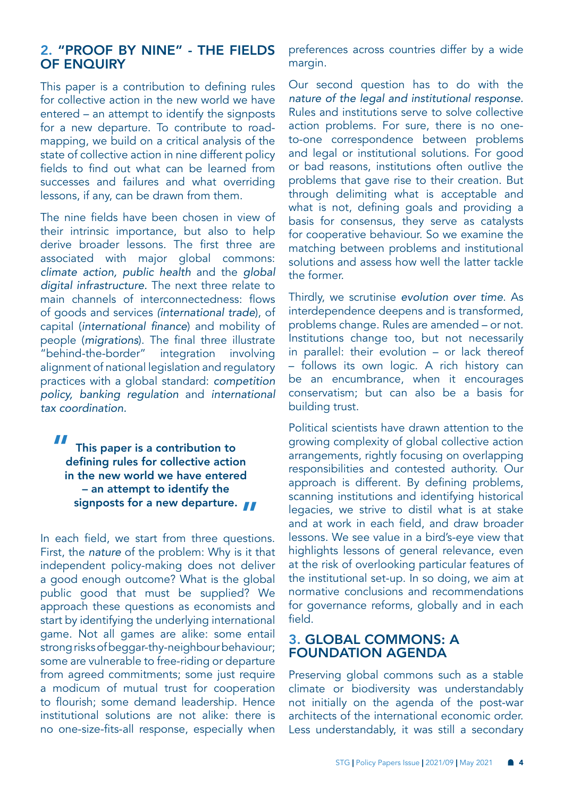# 2. "PROOF BY NINE" - THE FIELDS OF ENQUIRY

This paper is a contribution to defining rules for collective action in the new world we have entered – an attempt to identify the signposts for a new departure. To contribute to roadmapping, we build on a critical analysis of the state of collective action in nine different policy fields to find out what can be learned from successes and failures and what overriding lessons, if any, can be drawn from them.

The nine fields have been chosen in view of their intrinsic importance, but also to help derive broader lessons. The first three are associated with major global commons: *climate action, public health* and the *global digital infrastructure.* The next three relate to main channels of interconnectedness: flows of goods and services *(international trade*), of capital (international finance) and mobility of people (*migrations*). The final three illustrate "behind-the-border" integration involving alignment of national legislation and regulatory practices with a global standard: *competition policy, banking regulation* and *international tax coordination.* 

This paper is a contribution to defining rules for collective action in the new world we have entered – an attempt to identify the signposts for a new departure. **וו**<br>"

In each field, we start from three questions. First, the *nature* of the problem: Why is it that independent policy-making does not deliver a good enough outcome? What is the global public good that must be supplied? We approach these questions as economists and start by identifying the underlying international game. Not all games are alike: some entail strong risks of beggar-thy-neighbour behaviour; some are vulnerable to free-riding or departure from agreed commitments; some just require a modicum of mutual trust for cooperation to flourish; some demand leadership. Hence institutional solutions are not alike: there is no one-size-fits-all response, especially when

preferences across countries differ by a wide margin.

Our second question has to do with the *nature of the legal and institutional response.*  Rules and institutions serve to solve collective action problems. For sure, there is no oneto-one correspondence between problems and legal or institutional solutions. For good or bad reasons, institutions often outlive the problems that gave rise to their creation. But through delimiting what is acceptable and what is not, defining goals and providing a basis for consensus, they serve as catalysts for cooperative behaviour. So we examine the matching between problems and institutional solutions and assess how well the latter tackle the former.

Thirdly, we scrutinise *evolution over time*. As interdependence deepens and is transformed, problems change. Rules are amended – or not. Institutions change too, but not necessarily in parallel: their evolution – or lack thereof – follows its own logic. A rich history can be an encumbrance, when it encourages conservatism; but can also be a basis for building trust.

Political scientists have drawn attention to the growing complexity of global collective action arrangements, rightly focusing on overlapping responsibilities and contested authority. Our approach is different. By defining problems, scanning institutions and identifying historical legacies, we strive to distil what is at stake and at work in each field, and draw broader lessons. We see value in a bird's-eye view that highlights lessons of general relevance, even at the risk of overlooking particular features of the institutional set-up. In so doing, we aim at normative conclusions and recommendations for governance reforms, globally and in each field.

# 3. GLOBAL COMMONS: A FOUNDATION AGENDA

Preserving global commons such as a stable climate or biodiversity was understandably not initially on the agenda of the post-war architects of the international economic order. Less understandably, it was still a secondary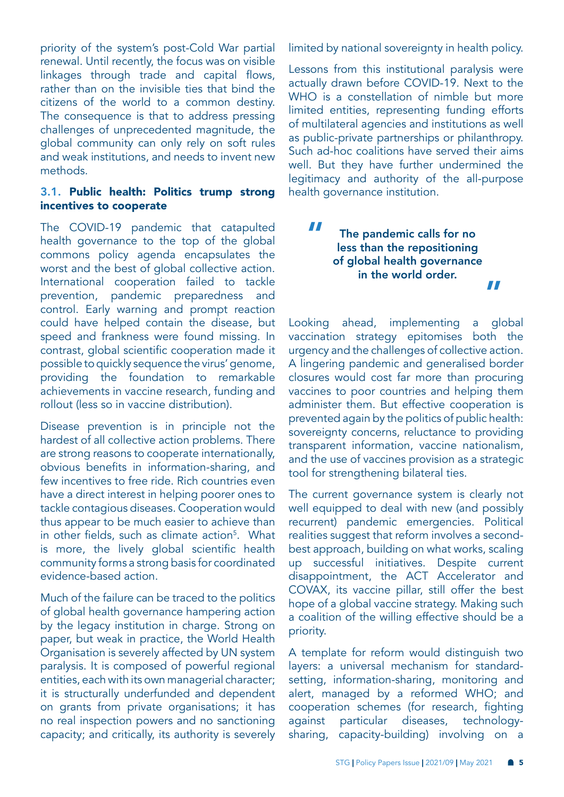<span id="page-4-0"></span>priority of the system's post-Cold War partial renewal. Until recently, the focus was on visible linkages through trade and capital flows, rather than on the invisible ties that bind the citizens of the world to a common destiny. The consequence is that to address pressing challenges of unprecedented magnitude, the global community can only rely on soft rules and weak institutions, and needs to invent new methods.

#### 3.1. Public health: Politics trump strong incentives to cooperate

The COVID-19 pandemic that catapulted health governance to the top of the global commons policy agenda encapsulates the worst and the best of global collective action. International cooperation failed to tackle prevention, pandemic preparedness and control. Early warning and prompt reaction could have helped contain the disease, but speed and frankness were found missing. In contrast, global scientific cooperation made it possible to quickly sequence the virus' genome, providing the foundation to remarkable achievements in vaccine research, funding and rollout (less so in vaccine distribution).

Disease prevention is in principle not the hardest of all collective action problems. There are strong reasons to cooperate internationally, obvious benefits in information-sharing, and few incentives to free ride. Rich countries even have a direct interest in helping poorer ones to tackle contagious diseases. Cooperation would thus appear to be much easier to achieve than in other fields, such as climate action<sup>[5](#page-20-0)</sup>. What is more, the lively global scientific health community forms a strong basis for coordinated evidence-based action.

Much of the failure can be traced to the politics of global health governance hampering action by the legacy institution in charge. Strong on paper, but weak in practice, the World Health Organisation is severely affected by UN system paralysis. It is composed of powerful regional entities, each with its own managerial character; it is structurally underfunded and dependent on grants from private organisations; it has no real inspection powers and no sanctioning capacity; and critically, its authority is severely limited by national sovereignty in health policy.

Lessons from this institutional paralysis were actually drawn before COVID-19. Next to the WHO is a constellation of nimble but more limited entities, representing funding efforts of multilateral agencies and institutions as well as public-private partnerships or philanthropy. Such ad-hoc coalitions have served their aims well. But they have further undermined the legitimacy and authority of the all-purpose health governance institution.

> The pandemic calls for no less than the repositioning of global health governance in the world order. "

"

Looking ahead, implementing a global vaccination strategy epitomises both the urgency and the challenges of collective action. A lingering pandemic and generalised border closures would cost far more than procuring vaccines to poor countries and helping them administer them. But effective cooperation is prevented again by the politics of public health: sovereignty concerns, reluctance to providing transparent information, vaccine nationalism, and the use of vaccines provision as a strategic tool for strengthening bilateral ties.

The current governance system is clearly not well equipped to deal with new (and possibly recurrent) pandemic emergencies. Political realities suggest that reform involves a secondbest approach, building on what works, scaling up successful initiatives. Despite current disappointment, the ACT Accelerator and COVAX, its vaccine pillar, still offer the best hope of a global vaccine strategy. Making such a coalition of the willing effective should be a priority.

A template for reform would distinguish two layers: a universal mechanism for standardsetting, information-sharing, monitoring and alert, managed by a reformed WHO; and cooperation schemes (for research, fighting against particular diseases, technologysharing, capacity-building) involving on a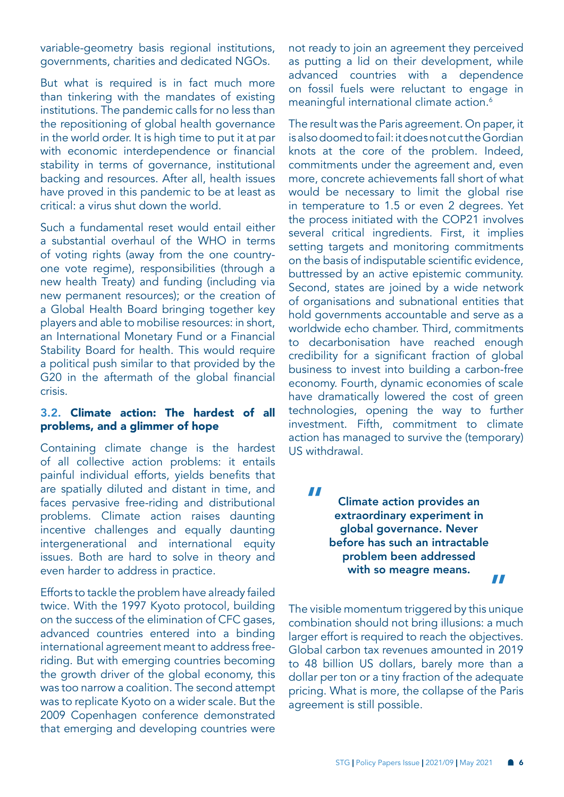<span id="page-5-0"></span>variable-geometry basis regional institutions, governments, charities and dedicated NGOs.

But what is required is in fact much more than tinkering with the mandates of existing institutions. The pandemic calls for no less than the repositioning of global health governance in the world order. It is high time to put it at par with economic interdependence or financial stability in terms of governance, institutional backing and resources. After all, health issues have proved in this pandemic to be at least as critical: a virus shut down the world.

Such a fundamental reset would entail either a substantial overhaul of the WHO in terms of voting rights (away from the one countryone vote regime), responsibilities (through a new health Treaty) and funding (including via new permanent resources); or the creation of a Global Health Board bringing together key players and able to mobilise resources: in short, an International Monetary Fund or a Financial Stability Board for health. This would require a political push similar to that provided by the G20 in the aftermath of the global financial crisis.

#### 3.2. Climate action: The hardest of all problems, and a glimmer of hope

Containing climate change is the hardest of all collective action problems: it entails painful individual efforts, yields benefits that are spatially diluted and distant in time, and faces pervasive free-riding and distributional problems. Climate action raises daunting incentive challenges and equally daunting intergenerational and international equity issues. Both are hard to solve in theory and even harder to address in practice.

Efforts to tackle the problem have already failed twice. With the 1997 Kyoto protocol, building on the success of the elimination of CFC gases, advanced countries entered into a binding international agreement meant to address freeriding. But with emerging countries becoming the growth driver of the global economy, this was too narrow a coalition. The second attempt was to replicate Kyoto on a wider scale. But the 2009 Copenhagen conference demonstrated that emerging and developing countries were

not ready to join an agreement they perceived as putting a lid on their development, while advanced countries with a dependence on fossil fuels were reluctant to engage in meaningful international climate action.<sup>6</sup>

The result was the Paris agreement. On paper, it is also doomed to fail: it does not cut the Gordian knots at the core of the problem. Indeed, commitments under the agreement and, even more, concrete achievements fall short of what would be necessary to limit the global rise in temperature to 1.5 or even 2 degrees. Yet the process initiated with the COP21 involves several critical ingredients. First, it implies setting targets and monitoring commitments on the basis of indisputable scientific evidence, buttressed by an active epistemic community. Second, states are joined by a wide network of organisations and subnational entities that hold governments accountable and serve as a worldwide echo chamber. Third, commitments to decarbonisation have reached enough credibility for a significant fraction of global business to invest into building a carbon-free economy. Fourth, dynamic economies of scale have dramatically lowered the cost of green technologies, opening the way to further investment. Fifth, commitment to climate action has managed to survive the (temporary) US withdrawal.

"

Climate action provides an extraordinary experiment in global governance. Never before has such an intractable problem been addressed with so meagre means. "

The visible momentum triggered by this unique combination should not bring illusions: a much larger effort is required to reach the objectives. Global carbon tax revenues amounted in 2019 to 48 billion US dollars, barely more than a dollar per ton or a tiny fraction of the adequate pricing. What is more, the collapse of the Paris agreement is still possible.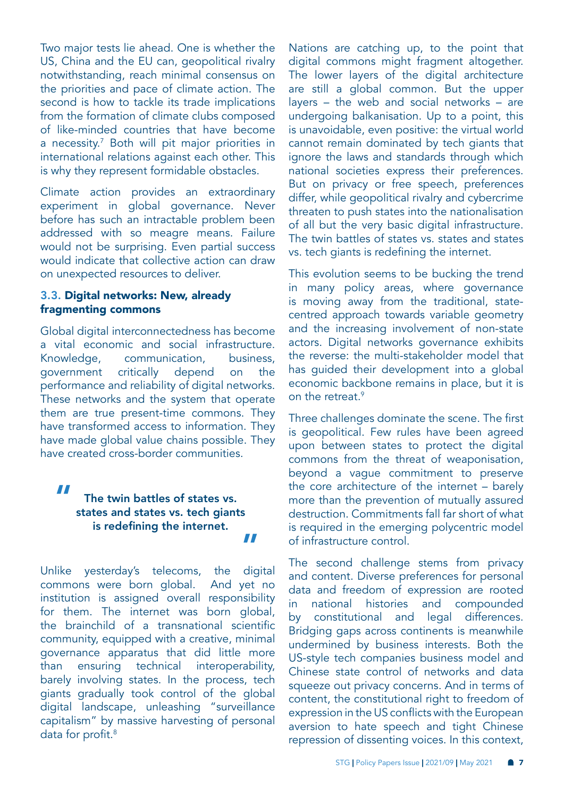<span id="page-6-0"></span>Two major tests lie ahead. One is whether the US, China and the EU can, geopolitical rivalry notwithstanding, reach minimal consensus on the priorities and pace of climate action. The second is how to tackle its trade implications from the formation of climate clubs composed of like-minded countries that have become a necessity.[7](#page-20-0) Both will pit major priorities in international relations against each other. This is why they represent formidable obstacles.

Climate action provides an extraordinary experiment in global governance. Never before has such an intractable problem been addressed with so meagre means. Failure would not be surprising. Even partial success would indicate that collective action can draw on unexpected resources to deliver.

#### 3.3. Digital networks: New, already fragmenting commons

Global digital interconnectedness has become a vital economic and social infrastructure. Knowledge, communication, business, government critically depend on the performance and reliability of digital networks. These networks and the system that operate them are true present-time commons. They have transformed access to information. They have made global value chains possible. They have created cross-border communities.

# "

#### The twin battles of states vs. states and states vs. tech giants is redefining the internet. "

Unlike yesterday's telecoms, the digital commons were born global. And yet no institution is assigned overall responsibility for them. The internet was born global, the brainchild of a transnational scientific community, equipped with a creative, minimal governance apparatus that did little more than ensuring technical interoperability, barely involving states. In the process, tech giants gradually took control of the global digital landscape, unleashing "surveillance capitalism" by massive harvesting of personal data for profit.<sup>[8](#page-20-0)</sup>

Nations are catching up, to the point that digital commons might fragment altogether. The lower layers of the digital architecture are still a global common. But the upper layers – the web and social networks – are undergoing balkanisation. Up to a point, this is unavoidable, even positive: the virtual world cannot remain dominated by tech giants that ignore the laws and standards through which national societies express their preferences. But on privacy or free speech, preferences differ, while geopolitical rivalry and cybercrime threaten to push states into the nationalisation of all but the very basic digital infrastructure. The twin battles of states vs. states and states vs. tech giants is redefining the internet.

This evolution seems to be bucking the trend in many policy areas, where governance is moving away from the traditional, statecentred approach towards variable geometry and the increasing involvement of non-state actors. Digital networks governance exhibits the reverse: the multi-stakeholder model that has guided their development into a global economic backbone remains in place, but it is on the retreat.<sup>[9](#page-20-0)</sup>

Three challenges dominate the scene. The first is geopolitical. Few rules have been agreed upon between states to protect the digital commons from the threat of weaponisation, beyond a vague commitment to preserve the core architecture of the internet – barely more than the prevention of mutually assured destruction. Commitments fall far short of what is required in the emerging polycentric model of infrastructure control.

The second challenge stems from privacy and content. Diverse preferences for personal data and freedom of expression are rooted in national histories and compounded by constitutional and legal differences. Bridging gaps across continents is meanwhile undermined by business interests. Both the US-style tech companies business model and Chinese state control of networks and data squeeze out privacy concerns. And in terms of content, the constitutional right to freedom of expression in the US conflicts with the European aversion to hate speech and tight Chinese repression of dissenting voices. In this context,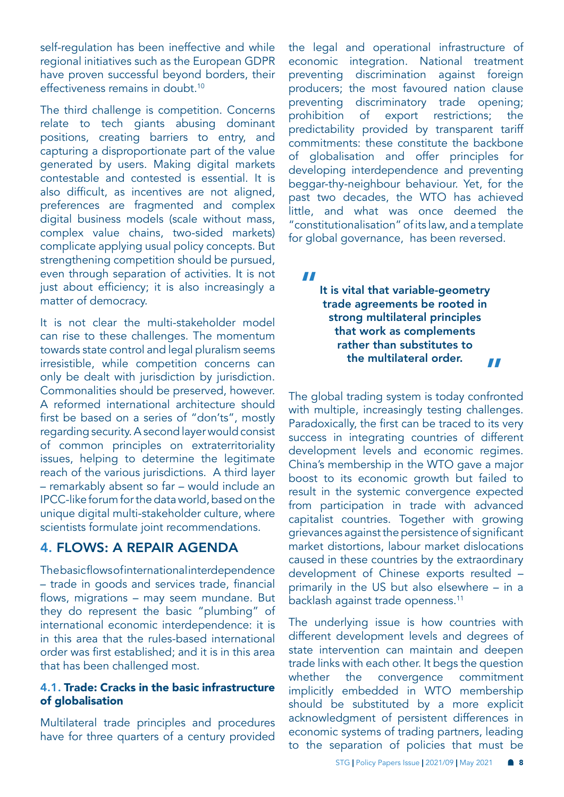<span id="page-7-0"></span>self-regulation has been ineffective and while regional initiatives such as the European GDPR have proven successful beyond borders, their effectiveness remains in doubt.<sup>[10](#page-20-0)</sup>

The third challenge is competition. Concerns relate to tech giants abusing dominant positions, creating barriers to entry, and capturing a disproportionate part of the value generated by users. Making digital markets contestable and contested is essential. It is also difficult, as incentives are not aligned, preferences are fragmented and complex digital business models (scale without mass, complex value chains, two-sided markets) complicate applying usual policy concepts. But strengthening competition should be pursued, even through separation of activities. It is not just about efficiency; it is also increasingly a matter of democracy.

It is not clear the multi-stakeholder model can rise to these challenges. The momentum towards state control and legal pluralism seems irresistible, while competition concerns can only be dealt with jurisdiction by jurisdiction. Commonalities should be preserved, however. A reformed international architecture should first be based on a series of "don'ts", mostly regarding security. A second layer would consist of common principles on extraterritoriality issues, helping to determine the legitimate reach of the various jurisdictions. A third layer – remarkably absent so far – would include an IPCC-like forum for the data world, based on the unique digital multi-stakeholder culture, where scientists formulate joint recommendations.

# 4. FLOWS: A REPAIR AGENDA

The basic flows of international interdependence – trade in goods and services trade, financial flows, migrations – may seem mundane. But they do represent the basic "plumbing" of international economic interdependence: it is in this area that the rules-based international order was first established; and it is in this area that has been challenged most.

#### 4.1. Trade: Cracks in the basic infrastructure of globalisation

Multilateral trade principles and procedures have for three quarters of a century provided

the legal and operational infrastructure of economic integration. National treatment preventing discrimination against foreign producers; the most favoured nation clause preventing discriminatory trade opening; prohibition of export restrictions; the predictability provided by transparent tariff commitments: these constitute the backbone of globalisation and offer principles for developing interdependence and preventing beggar-thy-neighbour behaviour. Yet, for the past two decades, the WTO has achieved little, and what was once deemed the "constitutionalisation" of its law, and a template for global governance, has been reversed.

"

It is vital that variable-geometry trade agreements be rooted in strong multilateral principles that work as complements rather than substitutes to the multilateral order. "

The global trading system is today confronted with multiple, increasingly testing challenges. Paradoxically, the first can be traced to its very success in integrating countries of different development levels and economic regimes. China's membership in the WTO gave a major boost to its economic growth but failed to result in the systemic convergence expected from participation in trade with advanced capitalist countries. Together with growing grievances against the persistence of significant market distortions, labour market dislocations caused in these countries by the extraordinary development of Chinese exports resulted – primarily in the US but also elsewhere – in a backlash against trade openness.<sup>[11](#page-20-0)</sup>

The underlying issue is how countries with different development levels and degrees of state intervention can maintain and deepen trade links with each other. It begs the question whether the convergence commitment implicitly embedded in WTO membership should be substituted by a more explicit acknowledgment of persistent differences in economic systems of trading partners, leading to the separation of policies that must be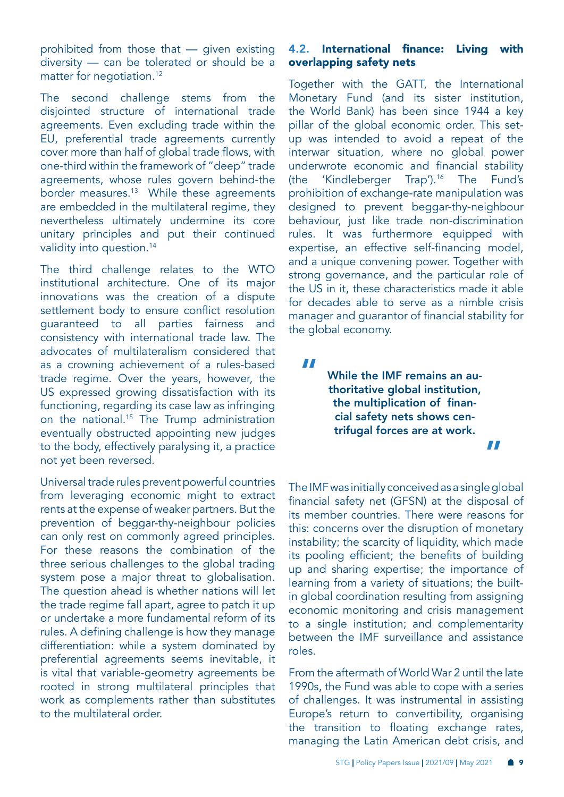<span id="page-8-0"></span>prohibited from those that — given existing diversity — can be tolerated or should be a matter for negotiation.<sup>[12](#page-20-0)</sup>

The second challenge stems from the disjointed structure of international trade agreements. Even excluding trade within the EU, preferential trade agreements currently cover more than half of global trade flows, with one-third within the framework of "deep" trade agreements, whose rules govern behind-the border measures.[13](#page-20-0) While these agreements are embedded in the multilateral regime, they nevertheless ultimately undermine its core unitary principles and put their continued validity into question.<sup>14</sup>

The third challenge relates to the WTO institutional architecture. One of its major innovations was the creation of a dispute settlement body to ensure conflict resolution guaranteed to all parties fairness and consistency with international trade law. The advocates of multilateralism considered that as a crowning achievement of a rules-based trade regime. Over the years, however, the US expressed growing dissatisfaction with its functioning, regarding its case law as infringing on the national.<sup>15</sup> The Trump administration eventually obstructed appointing new judges to the body, effectively paralysing it, a practice not yet been reversed.

Universal trade rules prevent powerful countries from leveraging economic might to extract rents at the expense of weaker partners. But the prevention of beggar-thy-neighbour policies can only rest on commonly agreed principles. For these reasons the combination of the three serious challenges to the global trading system pose a major threat to globalisation. The question ahead is whether nations will let the trade regime fall apart, agree to patch it up or undertake a more fundamental reform of its rules. A defining challenge is how they manage differentiation: while a system dominated by preferential agreements seems inevitable, it is vital that variable-geometry agreements be rooted in strong multilateral principles that work as complements rather than substitutes to the multilateral order.

#### 4.2. International finance: Living with overlapping safety nets

Together with the GATT, the International Monetary Fund (and its sister institution, the World Bank) has been since 1944 a key pillar of the global economic order. This setup was intended to avoid a repeat of the interwar situation, where no global power underwrote economic and financial stability (the 'Kindleberger Trap').[16](#page-20-0) The Fund's prohibition of exchange-rate manipulation was designed to prevent beggar-thy-neighbour behaviour, just like trade non-discrimination rules. It was furthermore equipped with expertise, an effective self-financing model, and a unique convening power. Together with strong governance, and the particular role of the US in it, these characteristics made it able for decades able to serve as a nimble crisis manager and guarantor of financial stability for the global economy.

"

While the IMF remains an authoritative global institution, the multiplication of financial safety nets shows centrifugal forces are at work.

"

The IMF was initially conceived as a single global financial safety net (GFSN) at the disposal of its member countries. There were reasons for this: concerns over the disruption of monetary instability; the scarcity of liquidity, which made its pooling efficient; the benefits of building up and sharing expertise; the importance of learning from a variety of situations; the builtin global coordination resulting from assigning economic monitoring and crisis management to a single institution; and complementarity between the IMF surveillance and assistance roles.

From the aftermath of World War 2 until the late 1990s, the Fund was able to cope with a series of challenges. It was instrumental in assisting Europe's return to convertibility, organising the transition to floating exchange rates, managing the Latin American debt crisis, and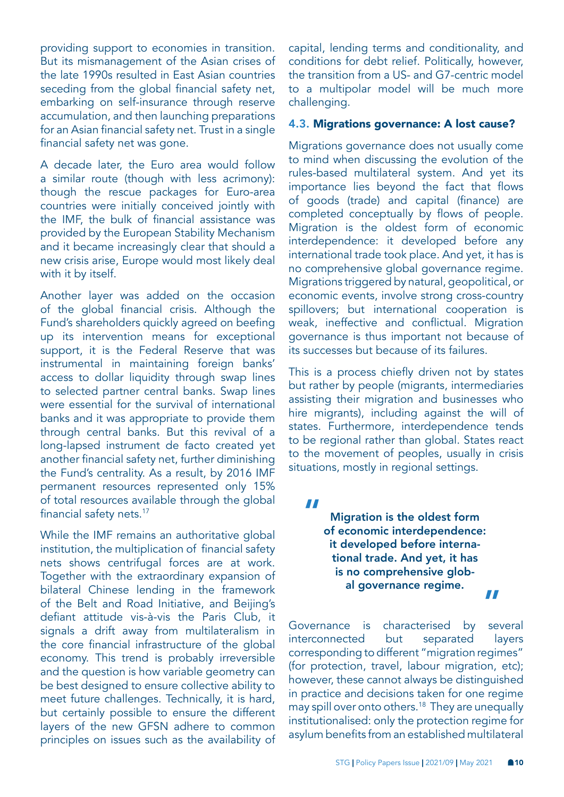<span id="page-9-0"></span>providing support to economies in transition. But its mismanagement of the Asian crises of the late 1990s resulted in East Asian countries seceding from the global financial safety net, embarking on self-insurance through reserve accumulation, and then launching preparations for an Asian financial safety net. Trust in a single financial safety net was gone.

A decade later, the Euro area would follow a similar route (though with less acrimony): though the rescue packages for Euro-area countries were initially conceived jointly with the IMF, the bulk of financial assistance was provided by the European Stability Mechanism and it became increasingly clear that should a new crisis arise, Europe would most likely deal with it by itself.

Another layer was added on the occasion of the global financial crisis. Although the Fund's shareholders quickly agreed on beefing up its intervention means for exceptional support, it is the Federal Reserve that was instrumental in maintaining foreign banks' access to dollar liquidity through swap lines to selected partner central banks. Swap lines were essential for the survival of international banks and it was appropriate to provide them through central banks. But this revival of a long-lapsed instrument de facto created yet another financial safety net, further diminishing the Fund's centrality. As a result, by 2016 IMF permanent resources represented only 15% of total resources available through the global financial safety nets.<sup>17</sup>

While the IMF remains an authoritative global institution, the multiplication of financial safety nets shows centrifugal forces are at work. Together with the extraordinary expansion of bilateral Chinese lending in the framework of the Belt and Road Initiative, and Beijing's defiant attitude vis-à-vis the Paris Club, it signals a drift away from multilateralism in the core financial infrastructure of the global economy. This trend is probably irreversible and the question is how variable geometry can be best designed to ensure collective ability to meet future challenges. Technically, it is hard, but certainly possible to ensure the different layers of the new GFSN adhere to common principles on issues such as the availability of

capital, lending terms and conditionality, and conditions for debt relief. Politically, however, the transition from a US- and G7-centric model to a multipolar model will be much more challenging.

#### 4.3. Migrations governance: A lost cause?

Migrations governance does not usually come to mind when discussing the evolution of the rules-based multilateral system. And yet its importance lies beyond the fact that flows of goods (trade) and capital (finance) are completed conceptually by flows of people. Migration is the oldest form of economic interdependence: it developed before any international trade took place. And yet, it has is no comprehensive global governance regime. Migrations triggered by natural, geopolitical, or economic events, involve strong cross-country spillovers; but international cooperation is weak, ineffective and conflictual. Migration governance is thus important not because of its successes but because of its failures.

This is a process chiefly driven not by states but rather by people (migrants, intermediaries assisting their migration and businesses who hire migrants), including against the will of states. Furthermore, interdependence tends to be regional rather than global. States react to the movement of peoples, usually in crisis situations, mostly in regional settings.

"

Migration is the oldest form of economic interdependence: it developed before international trade. And yet, it has is no comprehensive global governance regime. "

Governance is characterised by several interconnected but separated layers corresponding to different "migration regimes" (for protection, travel, labour migration, etc); however, these cannot always be distinguished in practice and decisions taken for one regime may spill over onto others.[18](#page-20-0) They are unequally institutionalised: only the protection regime for asylum benefits from an established multilateral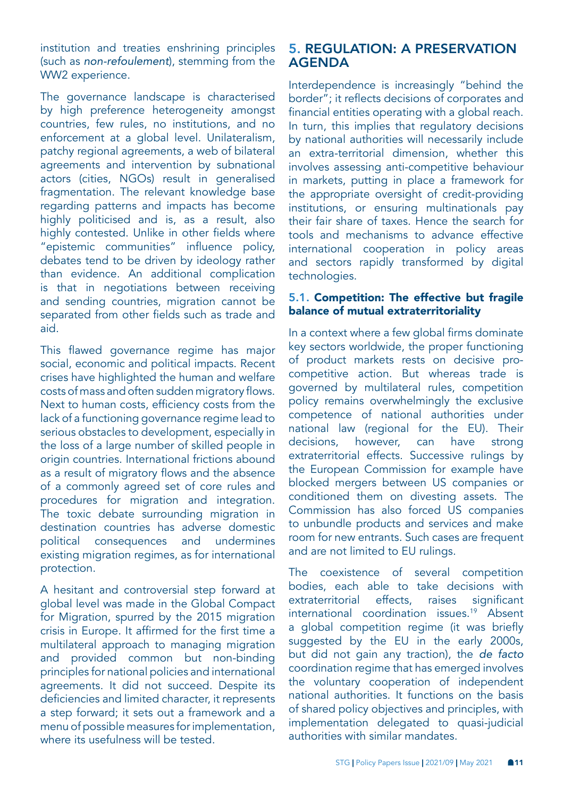<span id="page-10-0"></span>institution and treaties enshrining principles (such as *non-refoulement*), stemming from the WW2 experience.

The governance landscape is characterised by high preference heterogeneity amongst countries, few rules, no institutions, and no enforcement at a global level. Unilateralism, patchy regional agreements, a web of bilateral agreements and intervention by subnational actors (cities, NGOs) result in generalised fragmentation. The relevant knowledge base regarding patterns and impacts has become highly politicised and is, as a result, also highly contested. Unlike in other fields where "epistemic communities" influence policy, debates tend to be driven by ideology rather than evidence. An additional complication is that in negotiations between receiving and sending countries, migration cannot be separated from other fields such as trade and aid.

This flawed governance regime has major social, economic and political impacts. Recent crises have highlighted the human and welfare costs of mass and often sudden migratory flows. Next to human costs, efficiency costs from the lack of a functioning governance regime lead to serious obstacles to development, especially in the loss of a large number of skilled people in origin countries. International frictions abound as a result of migratory flows and the absence of a commonly agreed set of core rules and procedures for migration and integration. The toxic debate surrounding migration in destination countries has adverse domestic political consequences and undermines existing migration regimes, as for international protection.

A hesitant and controversial step forward at global level was made in the Global Compact for Migration, spurred by the 2015 migration crisis in Europe. It affirmed for the first time a multilateral approach to managing migration and provided common but non-binding principles for national policies and international agreements. It did not succeed. Despite its deficiencies and limited character, it represents a step forward; it sets out a framework and a menu of possible measures for implementation, where its usefulness will be tested.

# 5. REGULATION: A PRESERVATION AGENDA

Interdependence is increasingly "behind the border"; it reflects decisions of corporates and financial entities operating with a global reach. In turn, this implies that regulatory decisions by national authorities will necessarily include an extra-territorial dimension, whether this involves assessing anti-competitive behaviour in markets, putting in place a framework for the appropriate oversight of credit-providing institutions, or ensuring multinationals pay their fair share of taxes. Hence the search for tools and mechanisms to advance effective international cooperation in policy areas and sectors rapidly transformed by digital technologies.

#### 5.1. Competition: The effective but fragile balance of mutual extraterritoriality

In a context where a few global firms dominate key sectors worldwide, the proper functioning of product markets rests on decisive procompetitive action. But whereas trade is governed by multilateral rules, competition policy remains overwhelmingly the exclusive competence of national authorities under national law (regional for the EU). Their decisions, however, can have strong extraterritorial effects. Successive rulings by the European Commission for example have blocked mergers between US companies or conditioned them on divesting assets. The Commission has also forced US companies to unbundle products and services and make room for new entrants. Such cases are frequent and are not limited to EU rulings.

The coexistence of several competition bodies, each able to take decisions with extraterritorial effects, raises significant international coordination issues[.19](#page-20-0) Absent a global competition regime (it was briefly suggested by the EU in the early 2000s, but did not gain any traction), the *de facto* coordination regime that has emerged involves the voluntary cooperation of independent national authorities. It functions on the basis of shared policy objectives and principles, with implementation delegated to quasi-judicial authorities with similar mandates.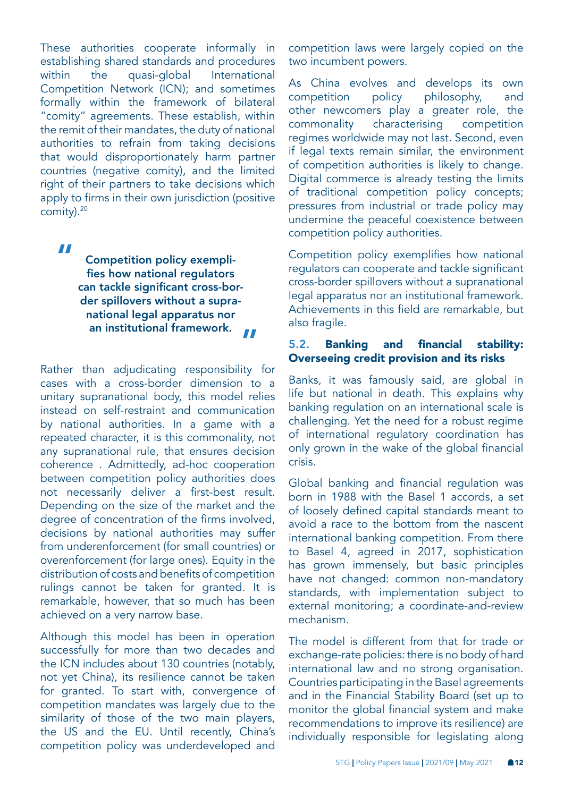<span id="page-11-0"></span>These authorities cooperate informally in establishing shared standards and procedures within the quasi-global International Competition Network (ICN); and sometimes formally within the framework of bilateral "comity" agreements. These establish, within the remit of their mandates, the duty of national authorities to refrain from taking decisions that would disproportionately harm partner countries (negative comity), and the limited right of their partners to take decisions which apply to firms in their own jurisdiction (positive comity).[20](#page-20-0)

Competition policy exemplifies how national regulators can tackle significant cross-border spillovers without a supranational legal apparatus nor an institutional framework. " "

Rather than adjudicating responsibility for cases with a cross-border dimension to a unitary supranational body, this model relies instead on self-restraint and communication by national authorities. In a game with a repeated character, it is this commonality, not any supranational rule, that ensures decision coherence . Admittedly, ad-hoc cooperation between competition policy authorities does not necessarily deliver a first-best result. Depending on the size of the market and the degree of concentration of the firms involved, decisions by national authorities may suffer from underenforcement (for small countries) or overenforcement (for large ones). Equity in the distribution of costs and benefits of competition rulings cannot be taken for granted. It is remarkable, however, that so much has been achieved on a very narrow base.

Although this model has been in operation successfully for more than two decades and the ICN includes about 130 countries (notably, not yet China), its resilience cannot be taken for granted. To start with, convergence of competition mandates was largely due to the similarity of those of the two main players, the US and the EU. Until recently, China's competition policy was underdeveloped and

competition laws were largely copied on the two incumbent powers.

As China evolves and develops its own competition policy philosophy, and other newcomers play a greater role, the commonality characterising competition regimes worldwide may not last. Second, even if legal texts remain similar, the environment of competition authorities is likely to change. Digital commerce is already testing the limits of traditional competition policy concepts; pressures from industrial or trade policy may undermine the peaceful coexistence between competition policy authorities.

Competition policy exemplifies how national regulators can cooperate and tackle significant cross-border spillovers without a supranational legal apparatus nor an institutional framework. Achievements in this field are remarkable, but also fragile.

#### 5.2. Banking and financial stability: Overseeing credit provision and its risks

Banks, it was famously said, are global in life but national in death. This explains why banking regulation on an international scale is challenging. Yet the need for a robust regime of international regulatory coordination has only grown in the wake of the global financial crisis.

Global banking and financial regulation was born in 1988 with the Basel 1 accords, a set of loosely defined capital standards meant to avoid a race to the bottom from the nascent international banking competition. From there to Basel 4, agreed in 2017, sophistication has grown immensely, but basic principles have not changed: common non-mandatory standards, with implementation subject to external monitoring; a coordinate-and-review mechanism.

The model is different from that for trade or exchange-rate policies: there is no body of hard international law and no strong organisation. Countries participating in the Basel agreements and in the Financial Stability Board (set up to monitor the global financial system and make recommendations to improve its resilience) are individually responsible for legislating along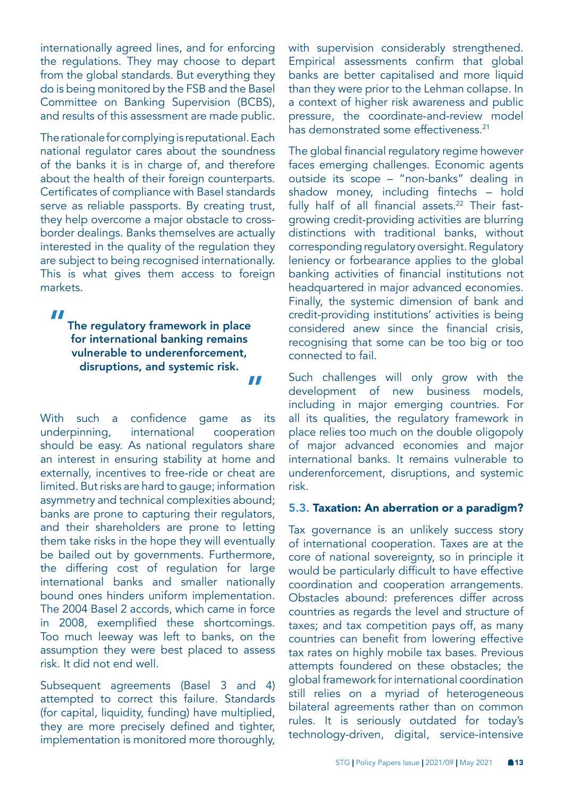<span id="page-12-0"></span>internationally agreed lines, and for enforcing the regulations. They may choose to depart from the global standards. But everything they do is being monitored by the FSB and the Basel Committee on Banking Supervision (BCBS), and results of this assessment are made public.

The rationale for complying is reputational. Each national regulator cares about the soundness of the banks it is in charge of, and therefore about the health of their foreign counterparts. Certificates of compliance with Basel standards serve as reliable passports. By creating trust, they help overcome a major obstacle to crossborder dealings. Banks themselves are actually interested in the quality of the regulation they are subject to being recognised internationally. This is what gives them access to foreign markets.

"

The regulatory framework in place for international banking remains vulnerable to underenforcement, disruptions, and systemic risk. "

With such a confidence game as its underpinning, international cooperation should be easy. As national regulators share an interest in ensuring stability at home and externally, incentives to free-ride or cheat are limited. But risks are hard to gauge; information asymmetry and technical complexities abound; banks are prone to capturing their regulators, and their shareholders are prone to letting them take risks in the hope they will eventually be bailed out by governments. Furthermore, the differing cost of regulation for large international banks and smaller nationally bound ones hinders uniform implementation. The 2004 Basel 2 accords, which came in force in 2008, exemplified these shortcomings. Too much leeway was left to banks, on the assumption they were best placed to assess risk. It did not end well.

Subsequent agreements (Basel 3 and 4) attempted to correct this failure. Standards (for capital, liquidity, funding) have multiplied, they are more precisely defined and tighter, implementation is monitored more thoroughly,

with supervision considerably strengthened. Empirical assessments confirm that global banks are better capitalised and more liquid than they were prior to the Lehman collapse. In a context of higher risk awareness and public pressure, the coordinate-and-review model has demonstrated some effectiveness.<sup>21</sup>

The global financial regulatory regime however faces emerging challenges. Economic agents outside its scope – "non-banks" dealing in shadow money, including fintechs – hold fully half of all financial assets. $22$  Their fastgrowing credit-providing activities are blurring distinctions with traditional banks, without corresponding regulatory oversight. Regulatory leniency or forbearance applies to the global banking activities of financial institutions not headquartered in major advanced economies. Finally, the systemic dimension of bank and credit-providing institutions' activities is being considered anew since the financial crisis, recognising that some can be too big or too connected to fail.

Such challenges will only grow with the development of new business models, including in major emerging countries. For all its qualities, the regulatory framework in place relies too much on the double oligopoly of major advanced economies and major international banks. It remains vulnerable to underenforcement, disruptions, and systemic risk.

#### 5.3. Taxation: An aberration or a paradigm?

Tax governance is an unlikely success story of international cooperation. Taxes are at the core of national sovereignty, so in principle it would be particularly difficult to have effective coordination and cooperation arrangements. Obstacles abound: preferences differ across countries as regards the level and structure of taxes; and tax competition pays off, as many countries can benefit from lowering effective tax rates on highly mobile tax bases. Previous attempts foundered on these obstacles; the global framework for international coordination still relies on a myriad of heterogeneous bilateral agreements rather than on common rules. It is seriously outdated for today's technology-driven, digital, service-intensive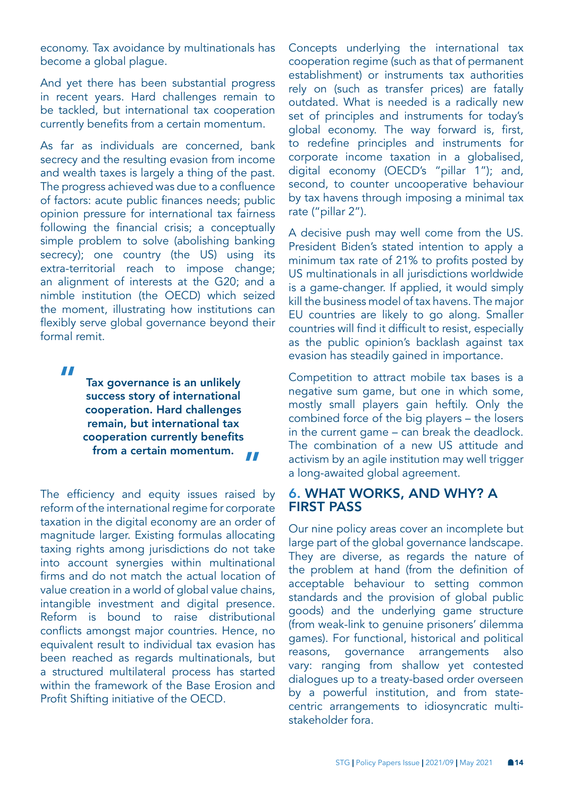economy. Tax avoidance by multinationals has become a global plague.

And yet there has been substantial progress in recent years. Hard challenges remain to be tackled, but international tax cooperation currently benefits from a certain momentum.

As far as individuals are concerned, bank secrecy and the resulting evasion from income and wealth taxes is largely a thing of the past. The progress achieved was due to a confluence of factors: acute public finances needs; public opinion pressure for international tax fairness following the financial crisis; a conceptually simple problem to solve (abolishing banking secrecy); one country (the US) using its extra-territorial reach to impose change; an alignment of interests at the G20; and a nimble institution (the OECD) which seized the moment, illustrating how institutions can flexibly serve global governance beyond their formal remit.

"

Tax governance is an unlikely success story of international cooperation. Hard challenges remain, but international tax cooperation currently benefits from a certain momentum. "

The efficiency and equity issues raised by reform of the international regime for corporate taxation in the digital economy are an order of magnitude larger. Existing formulas allocating taxing rights among jurisdictions do not take into account synergies within multinational firms and do not match the actual location of value creation in a world of global value chains, intangible investment and digital presence. Reform is bound to raise distributional conflicts amongst major countries. Hence, no equivalent result to individual tax evasion has been reached as regards multinationals, but a structured multilateral process has started within the framework of the Base Erosion and Profit Shifting initiative of the OECD.

Concepts underlying the international tax cooperation regime (such as that of permanent establishment) or instruments tax authorities rely on (such as transfer prices) are fatally outdated. What is needed is a radically new set of principles and instruments for today's global economy. The way forward is, first, to redefine principles and instruments for corporate income taxation in a globalised, digital economy (OECD's "pillar 1"); and, second, to counter uncooperative behaviour by tax havens through imposing a minimal tax rate ("pillar 2").

A decisive push may well come from the US. President Biden's stated intention to apply a minimum tax rate of 21% to profits posted by US multinationals in all jurisdictions worldwide is a game-changer. If applied, it would simply kill the business model of tax havens. The major EU countries are likely to go along. Smaller countries will find it difficult to resist, especially as the public opinion's backlash against tax evasion has steadily gained in importance.

Competition to attract mobile tax bases is a negative sum game, but one in which some, mostly small players gain heftily. Only the combined force of the big players – the losers in the current game – can break the deadlock. The combination of a new US attitude and activism by an agile institution may well trigger a long-awaited global agreement.

## 6. WHAT WORKS, AND WHY? A FIRST PASS

Our nine policy areas cover an incomplete but large part of the global governance landscape. They are diverse, as regards the nature of the problem at hand (from the definition of acceptable behaviour to setting common standards and the provision of global public goods) and the underlying game structure (from weak-link to genuine prisoners' dilemma games). For functional, historical and political reasons, governance arrangements also vary: ranging from shallow yet contested dialogues up to a treaty-based order overseen by a powerful institution, and from statecentric arrangements to idiosyncratic multistakeholder fora.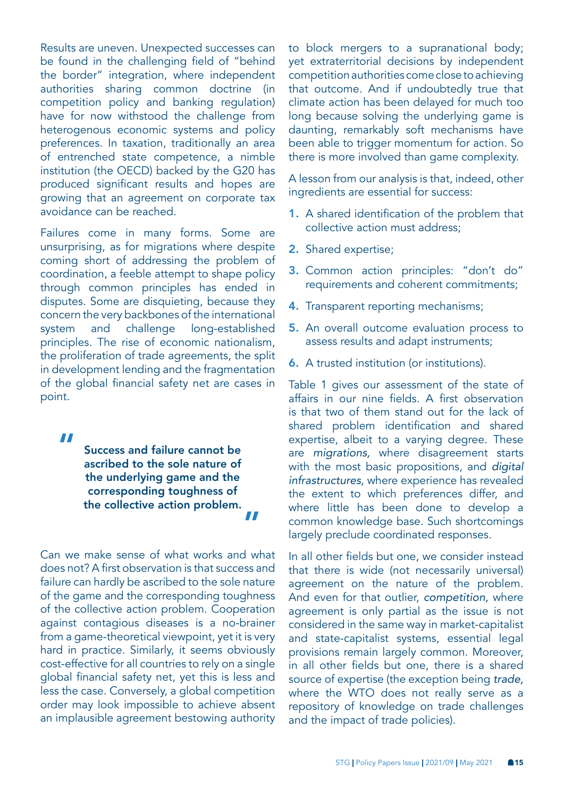Results are uneven. Unexpected successes can be found in the challenging field of "behind the border" integration, where independent authorities sharing common doctrine (in competition policy and banking regulation) have for now withstood the challenge from heterogenous economic systems and policy preferences. In taxation, traditionally an area of entrenched state competence, a nimble institution (the OECD) backed by the G20 has produced significant results and hopes are growing that an agreement on corporate tax avoidance can be reached.

Failures come in many forms. Some are unsurprising, as for migrations where despite coming short of addressing the problem of coordination, a feeble attempt to shape policy through common principles has ended in disputes. Some are disquieting, because they concern the very backbones of the international system and challenge long-established principles. The rise of economic nationalism, the proliferation of trade agreements, the split in development lending and the fragmentation of the global financial safety net are cases in point.

"

Success and failure cannot be ascribed to the sole nature of the underlying game and the corresponding toughness of the collective action problem. "

Can we make sense of what works and what does not? A first observation is that success and failure can hardly be ascribed to the sole nature of the game and the corresponding toughness of the collective action problem. Cooperation against contagious diseases is a no-brainer from a game-theoretical viewpoint, yet it is very hard in practice. Similarly, it seems obviously cost-effective for all countries to rely on a single global financial safety net, yet this is less and less the case. Conversely, a global competition order may look impossible to achieve absent an implausible agreement bestowing authority

to block mergers to a supranational body; yet extraterritorial decisions by independent competition authorities come close to achieving that outcome. And if undoubtedly true that climate action has been delayed for much too long because solving the underlying game is daunting, remarkably soft mechanisms have been able to trigger momentum for action. So there is more involved than game complexity.

A lesson from our analysis is that, indeed, other ingredients are essential for success:

- 1. A shared identification of the problem that collective action must address;
- 2. Shared expertise;
- 3. Common action principles: "don't do" requirements and coherent commitments;
- 4. Transparent reporting mechanisms;
- 5. An overall outcome evaluation process to assess results and adapt instruments;
- 6. A trusted institution (or institutions).

Table 1 gives our assessment of the state of affairs in our nine fields. A first observation is that two of them stand out for the lack of shared problem identification and shared expertise, albeit to a varying degree. These are *migrations,* where disagreement starts with the most basic propositions, and *digital infrastructures,* where experience has revealed the extent to which preferences differ, and where little has been done to develop a common knowledge base. Such shortcomings largely preclude coordinated responses.

In all other fields but one, we consider instead that there is wide (not necessarily universal) agreement on the nature of the problem. And even for that outlier, *competition,* where agreement is only partial as the issue is not considered in the same way in market-capitalist and state-capitalist systems, essential legal provisions remain largely common. Moreover, in all other fields but one, there is a shared source of expertise (the exception being *trade,*  where the WTO does not really serve as a repository of knowledge on trade challenges and the impact of trade policies).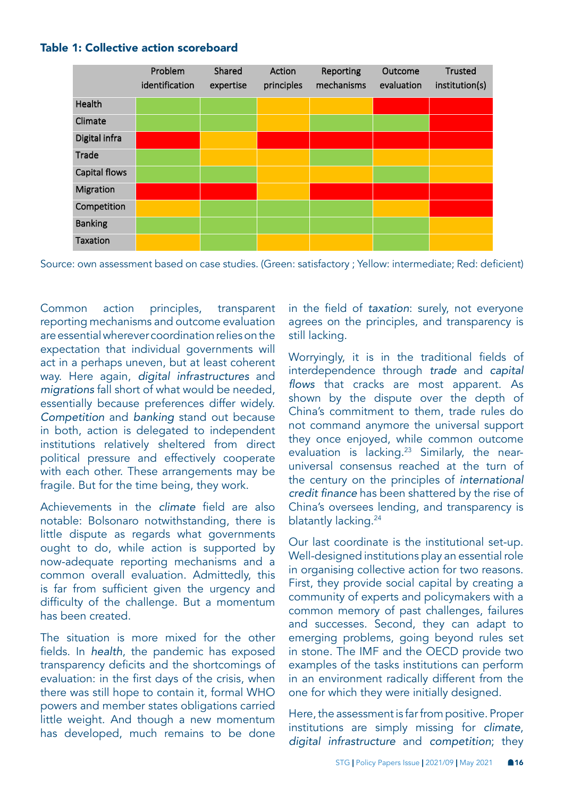

#### <span id="page-15-0"></span>Table 1: Collective action scoreboard

Source: own assessment based on case studies. (Green: satisfactory ; Yellow: intermediate; Red: deficient)

Common action principles, transparent reporting mechanisms and outcome evaluation are essential wherever coordination relies on the expectation that individual governments will act in a perhaps uneven, but at least coherent way. Here again, *digital infrastructures* and *migrations* fall short of what would be needed, essentially because preferences differ widely. *Competition* and *banking* stand out because in both, action is delegated to independent institutions relatively sheltered from direct political pressure and effectively cooperate with each other. These arrangements may be fragile. But for the time being, they work.

Achievements in the *climate* field are also notable: Bolsonaro notwithstanding, there is little dispute as regards what governments ought to do, while action is supported by now-adequate reporting mechanisms and a common overall evaluation. Admittedly, this is far from sufficient given the urgency and difficulty of the challenge. But a momentum has been created.

The situation is more mixed for the other fields. In *health*, the pandemic has exposed transparency deficits and the shortcomings of evaluation: in the first days of the crisis, when there was still hope to contain it, formal WHO powers and member states obligations carried little weight. And though a new momentum has developed, much remains to be done

in the field of *taxation*: surely, not everyone agrees on the principles, and transparency is still lacking.

Worryingly, it is in the traditional fields of interdependence through *trade* and *capital*  flows that cracks are most apparent. As shown by the dispute over the depth of China's commitment to them, trade rules do not command anymore the universal support they once enjoyed, while common outcome evaluation is lacking.<sup>23</sup> Similarly, the nearuniversal consensus reached at the turn of the century on the principles of *international*  credit finance has been shattered by the rise of China's oversees lending, and transparency is blatantly lacking.<sup>[24](#page-21-0)</sup>

Our last coordinate is the institutional set-up. Well-designed institutions play an essential role in organising collective action for two reasons. First, they provide social capital by creating a community of experts and policymakers with a common memory of past challenges, failures and successes. Second, they can adapt to emerging problems, going beyond rules set in stone. The IMF and the OECD provide two examples of the tasks institutions can perform in an environment radically different from the one for which they were initially designed.

Here, the assessment is far from positive. Proper institutions are simply missing for *climate*, *digital infrastructure* and *competition*; they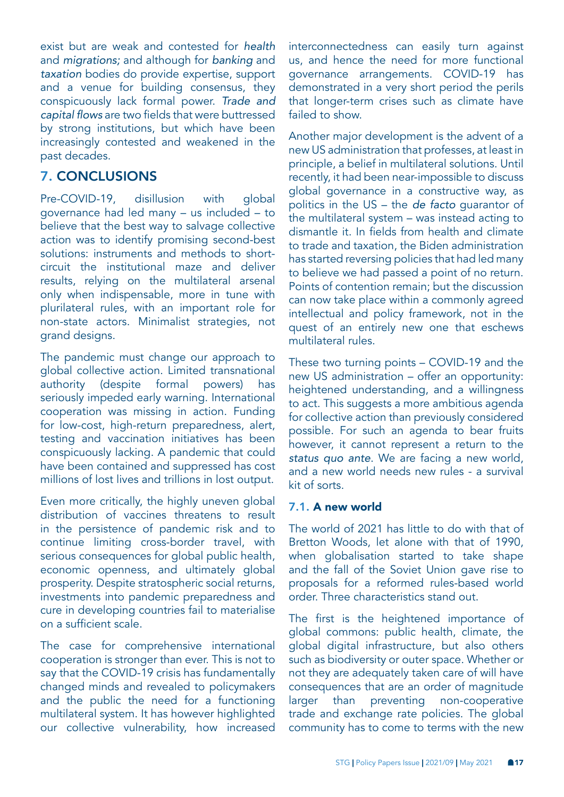exist but are weak and contested for *health*  and *migrations;* and although for *banking* and *taxation* bodies do provide expertise, support and a venue for building consensus, they conspicuously lack formal power. *Trade and*  capital flows are two fields that were buttressed by strong institutions, but which have been increasingly contested and weakened in the past decades.

# 7. CONCLUSIONS

Pre-COVID-19, disillusion with global governance had led many – us included – to believe that the best way to salvage collective action was to identify promising second-best solutions: instruments and methods to shortcircuit the institutional maze and deliver results, relying on the multilateral arsenal only when indispensable, more in tune with plurilateral rules, with an important role for non-state actors. Minimalist strategies, not grand designs.

The pandemic must change our approach to global collective action. Limited transnational authority (despite formal powers) has seriously impeded early warning. International cooperation was missing in action. Funding for low-cost, high-return preparedness, alert, testing and vaccination initiatives has been conspicuously lacking. A pandemic that could have been contained and suppressed has cost millions of lost lives and trillions in lost output.

Even more critically, the highly uneven global distribution of vaccines threatens to result in the persistence of pandemic risk and to continue limiting cross-border travel, with serious consequences for global public health, economic openness, and ultimately global prosperity. Despite stratospheric social returns, investments into pandemic preparedness and cure in developing countries fail to materialise on a sufficient scale.

The case for comprehensive international cooperation is stronger than ever. This is not to say that the COVID-19 crisis has fundamentally changed minds and revealed to policymakers and the public the need for a functioning multilateral system. It has however highlighted our collective vulnerability, how increased

interconnectedness can easily turn against us, and hence the need for more functional governance arrangements. COVID-19 has demonstrated in a very short period the perils that longer-term crises such as climate have failed to show.

Another major development is the advent of a new US administration that professes, at least in principle, a belief in multilateral solutions. Until recently, it had been near-impossible to discuss global governance in a constructive way, as politics in the US – the *de facto* guarantor of the multilateral system – was instead acting to dismantle it. In fields from health and climate to trade and taxation, the Biden administration has started reversing policies that had led many to believe we had passed a point of no return. Points of contention remain; but the discussion can now take place within a commonly agreed intellectual and policy framework, not in the quest of an entirely new one that eschews multilateral rules.

These two turning points – COVID-19 and the new US administration – offer an opportunity: heightened understanding, and a willingness to act. This suggests a more ambitious agenda for collective action than previously considered possible. For such an agenda to bear fruits however, it cannot represent a return to the *status quo ante*. We are facing a new world, and a new world needs new rules - a survival kit of sorts.

#### 7.1. A new world

The world of 2021 has little to do with that of Bretton Woods, let alone with that of 1990, when globalisation started to take shape and the fall of the Soviet Union gave rise to proposals for a reformed rules-based world order. Three characteristics stand out.

The first is the heightened importance of global commons: public health, climate, the global digital infrastructure, but also others such as biodiversity or outer space. Whether or not they are adequately taken care of will have consequences that are an order of magnitude larger than preventing non-cooperative trade and exchange rate policies. The global community has to come to terms with the new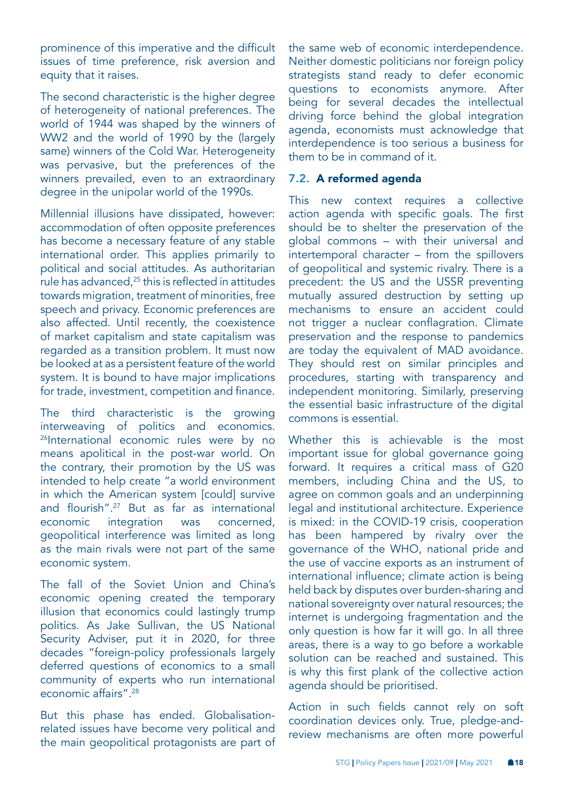<span id="page-17-0"></span>prominence of this imperative and the difficult issues of time preference, risk aversion and equity that it raises.

The second characteristic is the higher degree of heterogeneity of national preferences. The world of 1944 was shaped by the winners of WW2 and the world of 1990 by the (largely same) winners of the Cold War. Heterogeneity was pervasive, but the preferences of the winners prevailed, even to an extraordinary degree in the unipolar world of the 1990s.

Millennial illusions have dissipated, however: accommodation of often opposite preferences has become a necessary feature of any stable international order. This applies primarily to political and social attitudes. As authoritarian rule has advanced,<sup>[25](#page-21-0)</sup> this is reflected in attitudes towards migration, treatment of minorities, free speech and privacy. Economic preferences are also affected. Until recently, the coexistence of market capitalism and state capitalism was regarded as a transition problem. It must now be looked at as a persistent feature of the world system. It is bound to have major implications for trade, investment, competition and finance.

The third characteristic is the growing interweaving of politics and economics. <sup>[26](#page-21-0)</sup>International economic rules were by no means apolitical in the post-war world. On the contrary, their promotion by the US was intended to help create "a world environment in which the American system [could] survive and flourish".[27](#page-21-0) But as far as international economic integration was concerned, geopolitical interference was limited as long as the main rivals were not part of the same economic system.

The fall of the Soviet Union and China's economic opening created the temporary illusion that economics could lastingly trump politics. As Jake Sullivan, the US National Security Adviser, put it in 2020, for three decades "foreign-policy professionals largely deferred questions of economics to a small community of experts who run international economic affairs".<sup>[28](#page-21-0)</sup>

But this phase has ended. Globalisationrelated issues have become very political and the main geopolitical protagonists are part of the same web of economic interdependence. Neither domestic politicians nor foreign policy strategists stand ready to defer economic questions to economists anymore. After being for several decades the intellectual driving force behind the global integration agenda, economists must acknowledge that interdependence is too serious a business for them to be in command of it.

#### 7.2. A reformed agenda

This new context requires a collective action agenda with specific goals. The first should be to shelter the preservation of the global commons – with their universal and intertemporal character – from the spillovers of geopolitical and systemic rivalry. There is a precedent: the US and the USSR preventing mutually assured destruction by setting up mechanisms to ensure an accident could not trigger a nuclear conflagration. Climate preservation and the response to pandemics are today the equivalent of MAD avoidance. They should rest on similar principles and procedures, starting with transparency and independent monitoring. Similarly, preserving the essential basic infrastructure of the digital commons is essential.

Whether this is achievable is the most important issue for global governance going forward. It requires a critical mass of G20 members, including China and the US, to agree on common goals and an underpinning legal and institutional architecture. Experience is mixed: in the COVID-19 crisis, cooperation has been hampered by rivalry over the governance of the WHO, national pride and the use of vaccine exports as an instrument of international influence; climate action is being held back by disputes over burden-sharing and national sovereignty over natural resources; the internet is undergoing fragmentation and the only question is how far it will go. In all three areas, there is a way to go before a workable solution can be reached and sustained. This is why this first plank of the collective action agenda should be prioritised.

Action in such fields cannot rely on soft coordination devices only. True, pledge-andreview mechanisms are often more powerful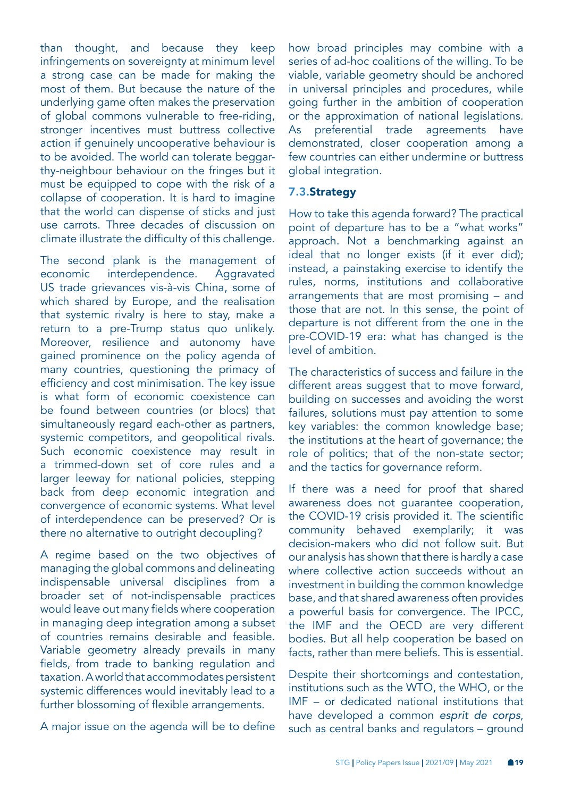than thought, and because they keep infringements on sovereignty at minimum level a strong case can be made for making the most of them. But because the nature of the underlying game often makes the preservation of global commons vulnerable to free-riding, stronger incentives must buttress collective action if genuinely uncooperative behaviour is to be avoided. The world can tolerate beggarthy-neighbour behaviour on the fringes but it must be equipped to cope with the risk of a collapse of cooperation. It is hard to imagine that the world can dispense of sticks and just use carrots. Three decades of discussion on climate illustrate the difficulty of this challenge.

The second plank is the management of economic interdependence. Aggravated US trade grievances vis-à-vis China, some of which shared by Europe, and the realisation that systemic rivalry is here to stay, make a return to a pre-Trump status quo unlikely. Moreover, resilience and autonomy have gained prominence on the policy agenda of many countries, questioning the primacy of efficiency and cost minimisation. The key issue is what form of economic coexistence can be found between countries (or blocs) that simultaneously regard each-other as partners, systemic competitors, and geopolitical rivals. Such economic coexistence may result in a trimmed-down set of core rules and a larger leeway for national policies, stepping back from deep economic integration and convergence of economic systems. What level of interdependence can be preserved? Or is there no alternative to outright decoupling?

A regime based on the two objectives of managing the global commons and delineating indispensable universal disciplines from a broader set of not-indispensable practices would leave out many fields where cooperation in managing deep integration among a subset of countries remains desirable and feasible. Variable geometry already prevails in many fields, from trade to banking regulation and taxation. A world that accommodates persistent systemic differences would inevitably lead to a further blossoming of flexible arrangements.

A major issue on the agenda will be to define

how broad principles may combine with a series of ad-hoc coalitions of the willing. To be viable, variable geometry should be anchored in universal principles and procedures, while going further in the ambition of cooperation or the approximation of national legislations. As preferential trade agreements have demonstrated, closer cooperation among a few countries can either undermine or buttress global integration.

### 7.3.Strategy

How to take this agenda forward? The practical point of departure has to be a "what works" approach. Not a benchmarking against an ideal that no longer exists (if it ever did); instead, a painstaking exercise to identify the rules, norms, institutions and collaborative arrangements that are most promising – and those that are not. In this sense, the point of departure is not different from the one in the pre-COVID-19 era: what has changed is the level of ambition.

The characteristics of success and failure in the different areas suggest that to move forward, building on successes and avoiding the worst failures, solutions must pay attention to some key variables: the common knowledge base; the institutions at the heart of governance; the role of politics; that of the non-state sector; and the tactics for governance reform.

If there was a need for proof that shared awareness does not guarantee cooperation, the COVID-19 crisis provided it. The scientific community behaved exemplarily; it was decision-makers who did not follow suit. But our analysis has shown that there is hardly a case where collective action succeeds without an investment in building the common knowledge base, and that shared awareness often provides a powerful basis for convergence. The IPCC, the IMF and the OECD are very different bodies. But all help cooperation be based on facts, rather than mere beliefs. This is essential.

Despite their shortcomings and contestation, institutions such as the WTO, the WHO, or the IMF – or dedicated national institutions that have developed a common *esprit de corps*, such as central banks and regulators – ground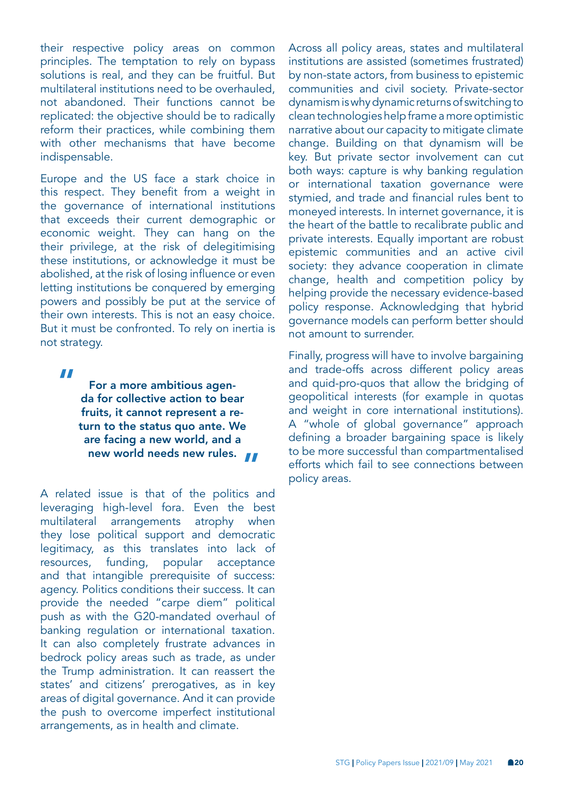their respective policy areas on common principles. The temptation to rely on bypass solutions is real, and they can be fruitful. But multilateral institutions need to be overhauled, not abandoned. Their functions cannot be replicated: the objective should be to radically reform their practices, while combining them with other mechanisms that have become indispensable.

Europe and the US face a stark choice in this respect. They benefit from a weight in the governance of international institutions that exceeds their current demographic or economic weight. They can hang on the their privilege, at the risk of delegitimising these institutions, or acknowledge it must be abolished, at the risk of losing influence or even letting institutions be conquered by emerging powers and possibly be put at the service of their own interests. This is not an easy choice. But it must be confronted. To rely on inertia is not strategy.

"

For a more ambitious agenda for collective action to bear fruits, it cannot represent a return to the status quo ante. We are facing a new world, and a new world needs new rules.

A related issue is that of the politics and leveraging high-level fora. Even the best multilateral arrangements atrophy when they lose political support and democratic legitimacy, as this translates into lack of resources, funding, popular acceptance and that intangible prerequisite of success: agency. Politics conditions their success. It can provide the needed "carpe diem" political push as with the G20-mandated overhaul of banking regulation or international taxation. It can also completely frustrate advances in bedrock policy areas such as trade, as under the Trump administration. It can reassert the states' and citizens' prerogatives, as in key areas of digital governance. And it can provide the push to overcome imperfect institutional arrangements, as in health and climate.

Across all policy areas, states and multilateral institutions are assisted (sometimes frustrated) by non-state actors, from business to epistemic communities and civil society. Private-sector dynamism is why dynamic returns of switching to clean technologies help frame a more optimistic narrative about our capacity to mitigate climate change. Building on that dynamism will be key. But private sector involvement can cut both ways: capture is why banking regulation or international taxation governance were stymied, and trade and financial rules bent to moneyed interests. In internet governance, it is the heart of the battle to recalibrate public and private interests. Equally important are robust epistemic communities and an active civil society: they advance cooperation in climate change, health and competition policy by helping provide the necessary evidence-based policy response. Acknowledging that hybrid governance models can perform better should not amount to surrender.

Finally, progress will have to involve bargaining and trade-offs across different policy areas and quid-pro-quos that allow the bridging of geopolitical interests (for example in quotas and weight in core international institutions). A "whole of global governance" approach defining a broader bargaining space is likely to be more successful than compartmentalised efforts which fail to see connections between policy areas.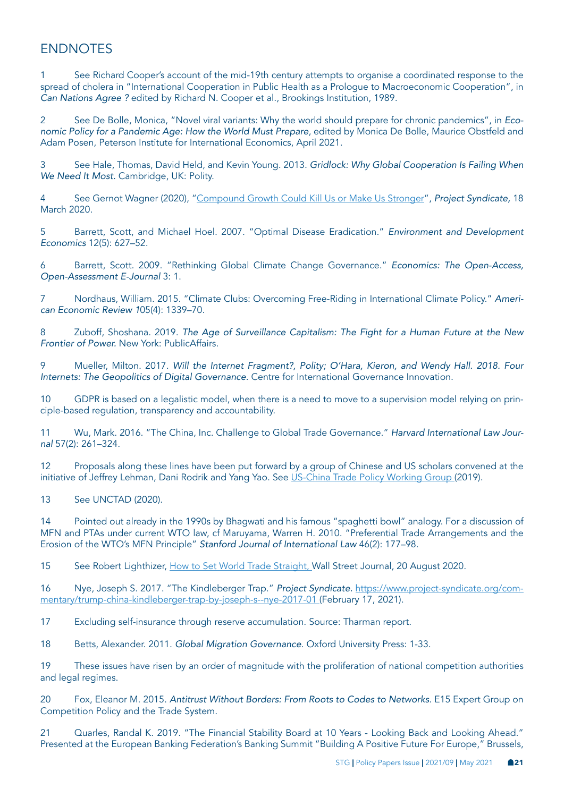# <span id="page-20-0"></span>**ENDNOTES**

[1](#page-2-0) See Richard Cooper's account of the mid-19th century attempts to organise a coordinated response to the spread of cholera in "International Cooperation in Public Health as a Prologue to Macroeconomic Cooperation", in *Can Nations Agree ?* edited by Richard N. Cooper et al., Brookings Institution, 1989.

[2](#page-2-0) See De Bolle, Monica, "Novel viral variants: Why the world should prepare for chronic pandemics", in *Eco*nomic Policy for a Pandemic Age: How the World Must Prepare, edited by Monica De Bolle, Maurice Obstfeld and Adam Posen, Peterson Institute for International Economics, April 2021.

[3](#page-2-0) See Hale, Thomas, David Held, and Kevin Young. 2013. Gridlock: Why Global Cooperation Is Failing When We Need It Most. Cambridge, UK: Polity.

[4](#page-2-0) See Gernot Wagner (2020), "[Compound Growth Could Kill Us or Make Us Stronger](https://www.project-syndicate.org/commentary/covid19-is-climate-change-on-steroids-by-gernot-wagner-2020-03?barrier=accesspaylog)", *Project Syndicate,* 18 March 2020.

[5](#page-4-0) Barrett, Scott, and Michael Hoel. 2007. "Optimal Disease Eradication." *Environment and Development Economics* 12(5): 627–52.

[6](#page-5-0) Barrett, Scott. 2009. "Rethinking Global Climate Change Governance." *Economics: The Open-Access, Open-Assessment E-Journal* 3: 1.

[7](#page-6-0) Nordhaus, William. 2015. "Climate Clubs: Overcoming Free-Riding in International Climate Policy." *Ameri*can Economic Review 105(4): 1339–70.

[8](#page-6-0) Zuboff, Shoshana. 2019. The Age of Surveillance Capitalism: The Fight for a Human Future at the New Frontier of Power. New York: PublicAffairs.

[9](#page-6-0) Mueller, Milton. 2017. Will the Internet Fragment?, Polity; O'Hara, Kieron, and Wendy Hall. 2018. Four Internets: The Geopolitics of Digital Governance. Centre for International Governance Innovation.

[10](#page-7-0) GDPR is based on a legalistic model, when there is a need to move to a supervision model relying on principle-based regulation, transparency and accountability.

[11](#page-7-0) Wu, Mark. 2016. "The China, Inc. Challenge to Global Trade Governance." Harvard International Law Jour*nal* 57(2): 261–324.

[12](#page-8-0) Proposals along these lines have been put forward by a group of Chinese and US scholars convened at the initiative of Jeffrey Lehman, Dani Rodrik and Yang Yao. See [US-China Trade Policy Working Group \(](https://rodrik.typepad.com/US-China Trade Relations - A Way Forward Booklet %28for print%29.pdf)2019).

[13](#page-8-0) See UNCTAD (2020).

[14](#page-8-0) Pointed out already in the 1990s by Bhagwati and his famous "spaghetti bowl" analogy. For a discussion of MFN and PTAs under current WTO law, cf Maruyama, Warren H. 2010. "Preferential Trade Arrangements and the Erosion of the WTO's MFN Principle" Stanford Journal of International Law 46(2): 177–98.

[15](#page-8-0) See Robert Lighthizer, [How to Set World Trade Straight,](https://www.wsj.com/articles/how-to-set-world-trade-straight-11597966341) Wall Street Journal, 20 August 2020.

[16](#page-8-0) Nye, Joseph S. 2017. "The Kindleberger Trap." *Project Syndicate.* [https://www.project-syndicate.org/com](https://www.project-syndicate.org/commentary/trump-china-kindleberger-trap-by-joseph-s--nye-2017-01)[mentary/trump-china-kindleberger-trap-by-joseph-s--nye-2017-01](https://www.project-syndicate.org/commentary/trump-china-kindleberger-trap-by-joseph-s--nye-2017-01) (February 17, 2021).

[17](#page-9-0) Excluding self-insurance through reserve accumulation. Source: Tharman report.

[18](#page-9-0) Betts, Alexander. 2011. Global Migration Governance. Oxford University Press: 1-33.

[19](#page-10-0) These issues have risen by an order of magnitude with the proliferation of national competition authorities and legal regimes.

[20](#page-11-0) Fox, Eleanor M. 2015. Antitrust Without Borders: From Roots to Codes to Networks. E15 Expert Group on Competition Policy and the Trade System.

[21](#page-12-0) Cuarles, Randal K. 2019. "The Financial Stability Board at 10 Years - Looking Back and Looking Ahead." Presented at the European Banking Federation's Banking Summit "Building A Positive Future For Europe," Brussels,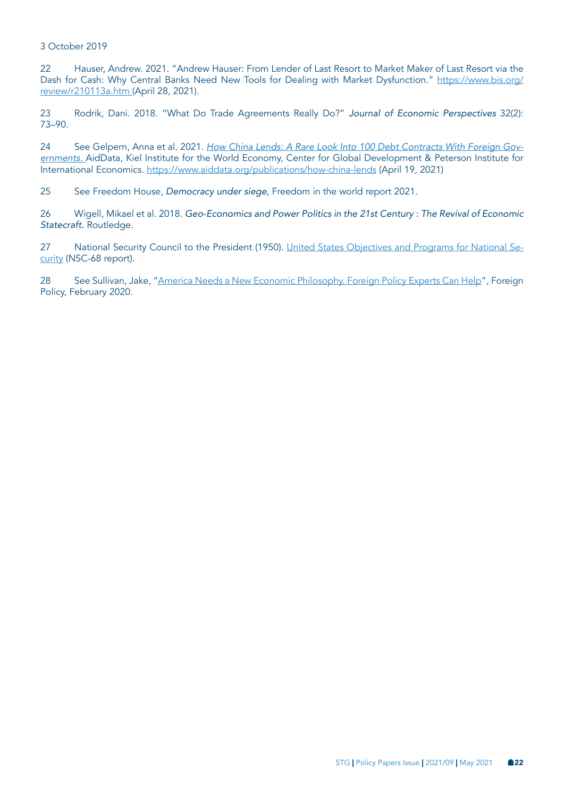#### <span id="page-21-0"></span>3 October 2019

[22](#page-12-0) Hauser, Andrew. 2021. "Andrew Hauser: From Lender of Last Resort to Market Maker of Last Resort via the Dash for Cash: Why Central Banks Need New Tools for Dealing with Market Dysfunction." [https://www.bis.org/](https://www.bis.org/review/r210113a.htm) [review/r210113a.htm \(](https://www.bis.org/review/r210113a.htm)April 28, 2021).

[23](#page-15-0) Rodrik, Dani. 2018. "What Do Trade Agreements Really Do?" *Journal of Economic Perspectives* 32(2): 73–90.

[24](#page-15-0) See Gelpern, Anna et al. 2021. [How China Lends: A Rare Look Into 100 Debt Contracts With Foreign Gov](https://www.aiddata.org/publications/how-china-lends)*[ernments.](https://www.aiddata.org/publications/how-china-lends)* AidData, Kiel Institute for the World Economy, Center for Global Development & Peterson Institute for International Economics. [https://www.aiddata.org/publications/how-china-lends](https://www.aiddata.org/publications/how-china-lends ) (April 19, 2021)

[25](#page-17-0) See Freedom House, *Democracy under siege,* Freedom in the world report 2021.

[26](#page-17-0) Wigell, Mikael et al. 2018. Geo-Economics and Power Politics in the 21st Century : *The Revival of Economic Statecraft.* Routledge.

[27](#page-17-0) National Security Council to the President (1950). [United States Objectives and Programs for National Se](https://digitalarchive.wilsoncenter.org/document/116191.pdf?v=2699956db534c1821edefa61b8c13ffe)[curity](https://digitalarchive.wilsoncenter.org/document/116191.pdf?v=2699956db534c1821edefa61b8c13ffe) (NSC-68 report).

[28](#page-17-0) See Sullivan, Jake, "[America Needs a New Economic Philosophy. Foreign Policy Experts Can Help](https://foreignpolicy.com/2020/02/07/america-needs-a-new-economic-philosophy-foreign-policy-experts-can-help/)", Foreign Policy, February 2020.